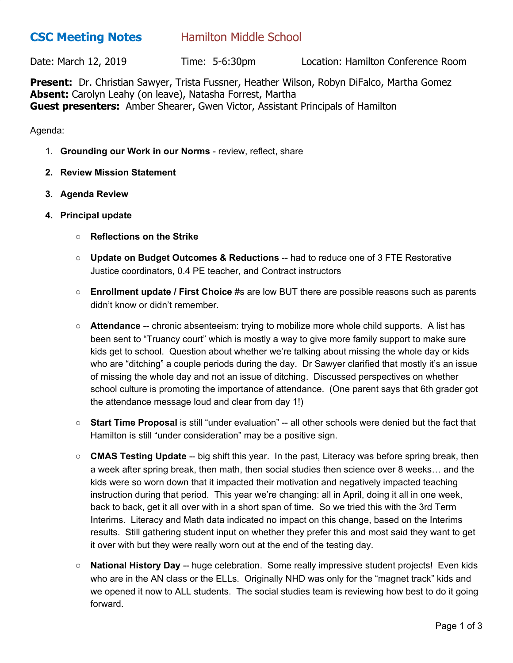## **CSC Meeting Notes** Hamilton Middle School

Date: March 12, 2019 Time: 5-6:30pm Location: Hamilton Conference Room

**Present:** Dr. Christian Sawyer, Trista Fussner, Heather Wilson, Robyn DiFalco, Martha Gomez **Absent:** Carolyn Leahy (on leave), Natasha Forrest, Martha **Guest presenters:** Amber Shearer, Gwen Victor, Assistant Principals of Hamilton

Agenda:

- 1. **Grounding our Work in our Norms** review, reflect, share
- **2. Review Mission Statement**
- **3. Agenda Review**
- **4. Principal update**
	- **○ Reflections on the Strike**
	- **Update on Budget Outcomes & Reductions** -- had to reduce one of 3 FTE Restorative Justice coordinators, 0.4 PE teacher, and Contract instructors
	- **Enrollment update / First Choice** #s are low BUT there are possible reasons such as parents didn't know or didn't remember.
	- **Attendance** -- chronic absenteeism: trying to mobilize more whole child supports. A list has been sent to "Truancy court" which is mostly a way to give more family support to make sure kids get to school. Question about whether we're talking about missing the whole day or kids who are "ditching" a couple periods during the day. Dr Sawyer clarified that mostly it's an issue of missing the whole day and not an issue of ditching. Discussed perspectives on whether school culture is promoting the importance of attendance. (One parent says that 6th grader got the attendance message loud and clear from day 1!)
	- **Start Time Proposal** is still "under evaluation" -- all other schools were denied but the fact that Hamilton is still "under consideration" may be a positive sign.
	- **CMAS Testing Update** -- big shift this year. In the past, Literacy was before spring break, then a week after spring break, then math, then social studies then science over 8 weeks… and the kids were so worn down that it impacted their motivation and negatively impacted teaching instruction during that period. This year we're changing: all in April, doing it all in one week, back to back, get it all over with in a short span of time. So we tried this with the 3rd Term Interims. Literacy and Math data indicated no impact on this change, based on the Interims results. Still gathering student input on whether they prefer this and most said they want to get it over with but they were really worn out at the end of the testing day.
	- **National History Day** -- huge celebration. Some really impressive student projects! Even kids who are in the AN class or the ELLs. Originally NHD was only for the "magnet track" kids and we opened it now to ALL students. The social studies team is reviewing how best to do it going forward.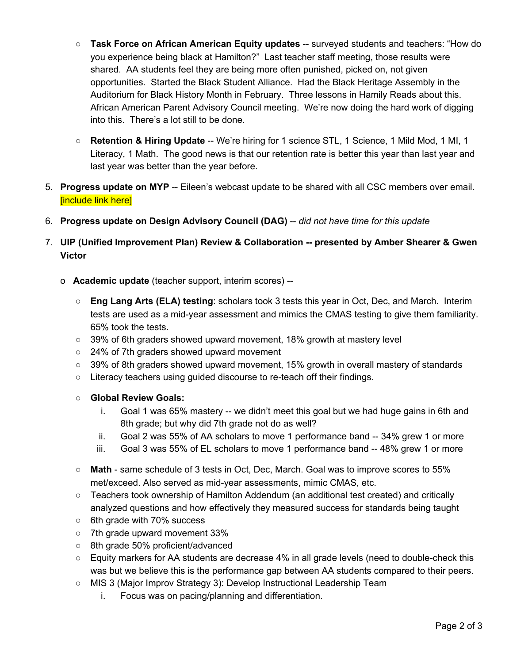- **Task Force on African American Equity updates** -- surveyed students and teachers: "How do you experience being black at Hamilton?" Last teacher staff meeting, those results were shared. AA students feel they are being more often punished, picked on, not given opportunities. Started the Black Student Alliance. Had the Black Heritage Assembly in the Auditorium for Black History Month in February. Three lessons in Hamily Reads about this. African American Parent Advisory Council meeting. We're now doing the hard work of digging into this. There's a lot still to be done.
- **Retention & Hiring Update** -- We're hiring for 1 science STL, 1 Science, 1 Mild Mod, 1 MI, 1 Literacy, 1 Math. The good news is that our retention rate is better this year than last year and last year was better than the year before.
- 5. **Progress update on MYP** -- Eileen's webcast update to be shared with all CSC members over email. [include link here]
- 6. **Progress update on Design Advisory Council (DAG)** -- *did not have time for this update*
- 7. **UIP (Unified Improvement Plan) Review & Collaboration -- presented by Amber Shearer & Gwen Victor**
	- o **Academic update** (teacher support, interim scores) --
		- **Eng Lang Arts (ELA) testing**: scholars took 3 tests this year in Oct, Dec, and March. Interim tests are used as a mid-year assessment and mimics the CMAS testing to give them familiarity. 65% took the tests.
		- $\circ$  39% of 6th graders showed upward movement, 18% growth at mastery level
		- 24% of 7th graders showed upward movement
		- $\circ$  39% of 8th graders showed upward movement, 15% growth in overall mastery of standards
		- Literacy teachers using guided discourse to re-teach off their findings.
		- **○ Global Review Goals:**
			- i. Goal 1 was 65% mastery -- we didn't meet this goal but we had huge gains in 6th and 8th grade; but why did 7th grade not do as well?
			- ii. Goal 2 was 55% of AA scholars to move 1 performance band -- 34% grew 1 or more
			- iii. Goal 3 was 55% of EL scholars to move 1 performance band -- 48% grew 1 or more
		- **Math** same schedule of 3 tests in Oct, Dec, March. Goal was to improve scores to 55% met/exceed. Also served as mid-year assessments, mimic CMAS, etc.
		- Teachers took ownership of Hamilton Addendum (an additional test created) and critically analyzed questions and how effectively they measured success for standards being taught
		- 6th grade with 70% success
		- 7th grade upward movement 33%
		- 8th grade 50% proficient/advanced
		- $\circ$  Equity markers for AA students are decrease 4% in all grade levels (need to double-check this was but we believe this is the performance gap between AA students compared to their peers.
		- **○** MIS 3 (Major Improv Strategy 3): Develop Instructional Leadership Team
			- i. Focus was on pacing/planning and differentiation.